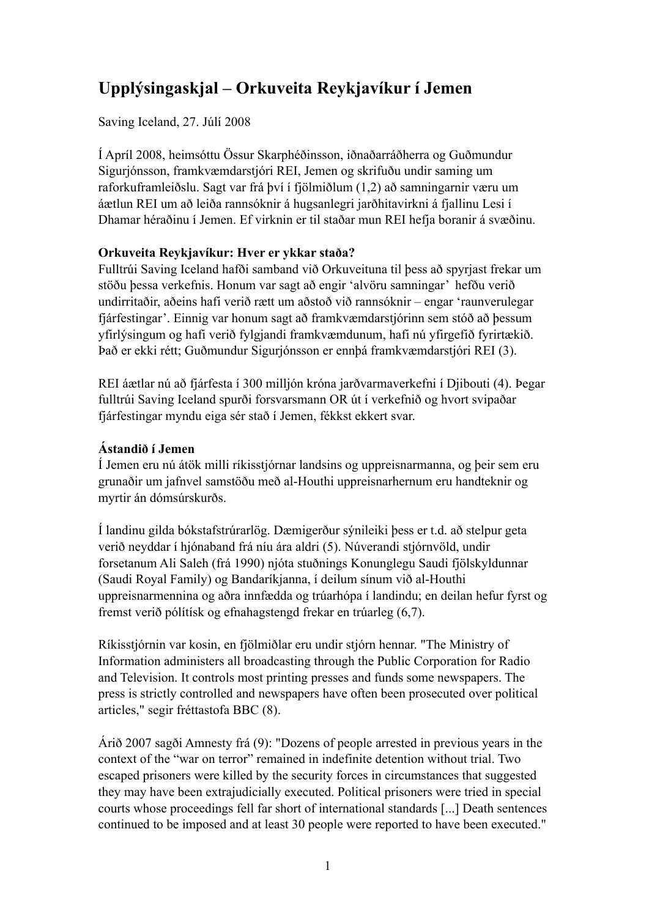# **Upplýsingaskjal – Orkuveita Reykjavíkur í Jemen**

Saving Iceland, 27. Júlí 2008

Í Apríl 2008, heimsóttu Össur Skarphéðinsson, iðnaðarráðherra og Guðmundur Sigurjónsson, framkvæmdarstjóri REI, Jemen og skrifuðu undir saming um raforkuframleiðslu. Sagt var frá því í fjölmiðlum (1,2) að samningarnir væru um áætlun REI um að leiða rannsóknir á hugsanlegri jarðhitavirkni á fjallinu Lesi í Dhamar héraðinu í Jemen. Ef virknin er til staðar mun REI hefja boranir á svæðinu.

## **Orkuveita Reykjavíkur: Hver er ykkar staða?**

Fulltrúi Saving Iceland hafði samband við Orkuveituna til þess að spyrjast frekar um stöðu þessa verkefnis. Honum var sagt að engir 'alvöru samningar' hefðu verið undirritaðir, aðeins hafi verið rætt um aðstoð við rannsóknir – engar 'raunverulegar fjárfestingar'. Einnig var honum sagt að framkvæmdarstjórinn sem stóð að þessum yfirlýsingum og hafi verið fylgjandi framkvæmdunum, hafi nú yfirgefið fyrirtækið. Það er ekki rétt; Guðmundur Sigurjónsson er ennþá framkvæmdarstjóri REI (3).

REI áætlar nú að fjárfesta í 300 milljón króna jarðvarmaverkefni í Djibouti (4). Þegar fulltrúi Saving Iceland spurði forsvarsmann OR út í verkefnið og hvort svipaðar fjárfestingar myndu eiga sér stað í Jemen, fékkst ekkert svar.

# **Ástandið í Jemen**

Í Jemen eru nú átök milli ríkisstjórnar landsins og uppreisnarmanna, og þeir sem eru grunaðir um jafnvel samstöðu með al-Houthi uppreisnarhernum eru handteknir og myrtir án dómsúrskurðs.

Í landinu gilda bókstafstrúrarlög. Dæmigerður sýnileiki þess er t.d. að stelpur geta verið neyddar í hjónaband frá níu ára aldri (5). Núverandi stjórnvöld, undir forsetanum Ali Saleh (frá 1990) njóta stuðnings Konunglegu Saudi fjölskyldunnar (Saudi Royal Family) og Bandaríkjanna, í deilum sínum við al-Houthi uppreisnarmennina og aðra innfædda og trúarhópa í landindu; en deilan hefur fyrst og fremst verið pólítísk og efnahagstengd frekar en trúarleg (6,7).

Ríkisstjórnin var kosin, en fjölmiðlar eru undir stjórn hennar. "The Ministry of Information administers all broadcasting through the Public Corporation for Radio and Television. It controls most printing presses and funds some newspapers. The press is strictly controlled and newspapers have often been prosecuted over political articles," segir fréttastofa BBC (8).

Árið 2007 sagði Amnesty frá (9): "Dozens of people arrested in previous years in the context of the "war on terror" remained in indefinite detention without trial. Two escaped prisoners were killed by the security forces in circumstances that suggested they may have been extrajudicially executed. Political prisoners were tried in special courts whose proceedings fell far short of international standards [...] Death sentences continued to be imposed and at least 30 people were reported to have been executed."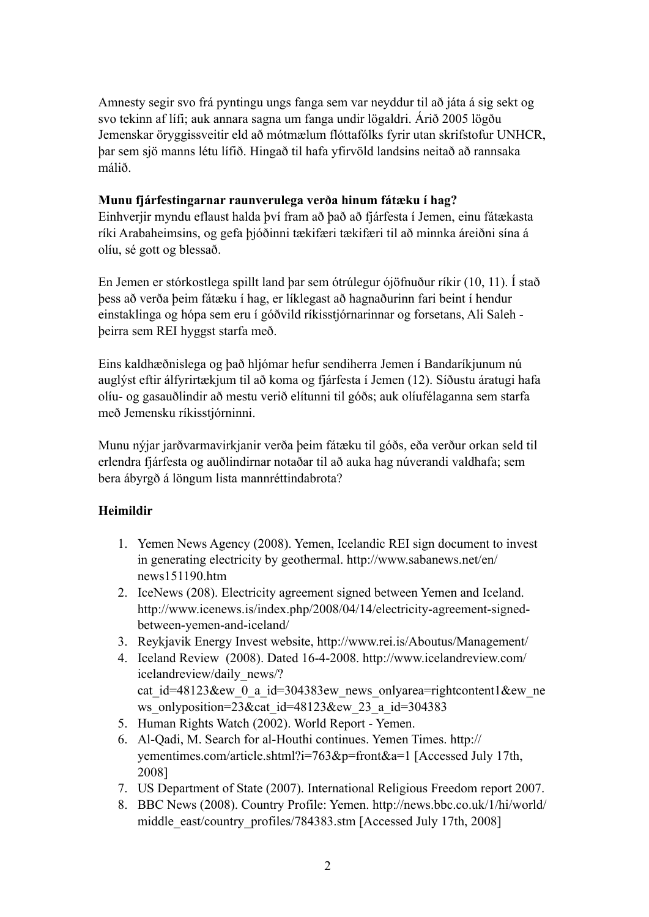Amnesty segir svo frá pyntingu ungs fanga sem var neyddur til að játa á sig sekt og svo tekinn af lífi; auk annara sagna um fanga undir lögaldri. Árið 2005 lögðu Jemenskar öryggissveitir eld að mótmælum flóttafólks fyrir utan skrifstofur UNHCR, þar sem sjö manns létu lífið. Hingað til hafa yfirvöld landsins neitað að rannsaka málið.

#### **Munu fjárfestingarnar raunverulega verða hinum fátæku í hag?**

Einhverjir myndu eflaust halda því fram að það að fjárfesta í Jemen, einu fátækasta ríki Arabaheimsins, og gefa þjóðinni tækifæri tækifæri til að minnka áreiðni sína á olíu, sé gott og blessað.

En Jemen er stórkostlega spillt land þar sem ótrúlegur ójöfnuður ríkir (10, 11). Í stað þess að verða þeim fátæku í hag, er líklegast að hagnaðurinn fari beint í hendur einstaklinga og hópa sem eru í góðvild ríkisstjórnarinnar og forsetans, Ali Saleh þeirra sem REI hyggst starfa með.

Eins kaldhæðnislega og það hljómar hefur sendiherra Jemen í Bandaríkjunum nú auglýst eftir álfyrirtækjum til að koma og fjárfesta í Jemen (12). Síðustu áratugi hafa olíu- og gasauðlindir að mestu verið elítunni til góðs; auk olíufélaganna sem starfa með Jemensku ríkisstjórninni.

Munu nýjar jarðvarmavirkjanir verða þeim fátæku til góðs, eða verður orkan seld til erlendra fjárfesta og auðlindirnar notaðar til að auka hag núverandi valdhafa; sem bera ábyrgð á löngum lista mannréttindabrota?

## **Heimildir**

- 1. Yemen News Agency (2008). Yemen, Icelandic REI sign document to invest in generating electricity by geothermal. http://www.sabanews.net/en/ news151190.htm
- 2. IceNews (208). Electricity agreement signed between Yemen and Iceland. http://www.icenews.is/index.php/2008/04/14/electricity-agreement-signedbetween-yemen-and-iceland/
- 3. Reykjavik Energy Invest website, http://www.rei.is/Aboutus/Management/
- 4. Iceland Review (2008). Dated 16-4-2008. http://www.icelandreview.com/ icelandreview/daily\_news/? cat id=48123&ew 0 a id=304383ew news onlyarea=rightcontent1&ew ne ws\_onlyposition= $23\&cat$  id=48123 $\&equation*$  ew\_23\_a\_id=304383
- 5. Human Rights Watch (2002). World Report Yemen.
- 6. Al-Qadi, M. Search for al-Houthi continues. Yemen Times. http:// yementimes.com/article.shtml?i=763&p=front&a=1 [Accessed July 17th, 2008]
- 7. US Department of State (2007). International Religious Freedom report 2007.
- 8. BBC News (2008). Country Profile: Yemen. http://news.bbc.co.uk/1/hi/world/ middle\_east/country\_profiles/784383.stm [Accessed July 17th, 2008]